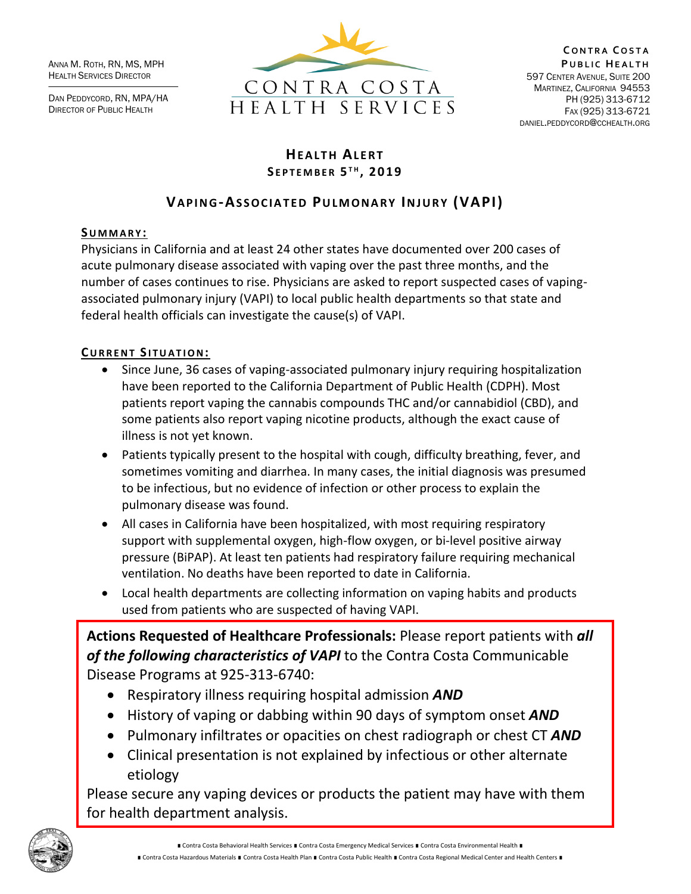ANNA M. ROTH, RN, MS, MPH HEALTH SERVICES DIRECTOR

DAN PEDDYCORD, RN, MPA/HA DIRECTOR OF PUBLIC HEALTH



# **HEALTH ALERT S E P T E M B E R 5 T H , 2 019**

# **VA P I N G-AS S O C I A T E D PU L M O N A R Y IN J U R Y (VAPI)**

## **SU M M A R Y :**

Physicians in California and at least 24 other states have documented over 200 cases of acute pulmonary disease associated with vaping over the past three months, and the number of cases continues to rise. Physicians are asked to report suspected cases of vapingassociated pulmonary injury (VAPI) to local public health departments so that state and federal health officials can investigate the cause(s) of VAPI.

# $C$ **URRENT SITUATION:**

- Since June, 36 cases of vaping-associated pulmonary injury requiring hospitalization have been reported to the California Department of Public Health (CDPH). Most patients report vaping the cannabis compounds THC and/or cannabidiol (CBD), and some patients also report vaping nicotine products, although the exact cause of illness is not yet known.
- Patients typically present to the hospital with cough, difficulty breathing, fever, and sometimes vomiting and diarrhea. In many cases, the initial diagnosis was presumed to be infectious, but no evidence of infection or other process to explain the pulmonary disease was found.
- All cases in California have been hospitalized, with most requiring respiratory support with supplemental oxygen, high-flow oxygen, or bi-level positive airway pressure (BiPAP). At least ten patients had respiratory failure requiring mechanical ventilation. No deaths have been reported to date in California.
- Local health departments are collecting information on vaping habits and products used from patients who are suspected of having VAPI.

**Actions Requested of Healthcare Professionals:** Please report patients with *all of the following characteristics of VAPI* to the Contra Costa Communicable Disease Programs at 925-313-6740:

- Respiratory illness requiring hospital admission *AND*
- History of vaping or dabbing within 90 days of symptom onset *AND*
- Pulmonary infiltrates or opacities on chest radiograph or chest CT *AND*
- Clinical presentation is not explained by infectious or other alternate etiology

Please secure any vaping devices or products the patient may have with them for health department analysis.



∎ Contra Costa Behavioral Health Services ∎ Contra Costa Emergency Medical Services ∎ Contra Costa Environmental Health ∎